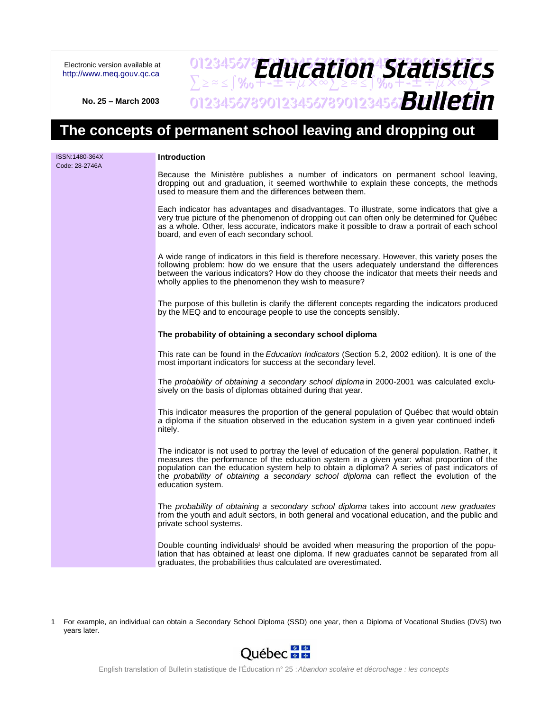Electronic version available at <http://www.meq.gouv.qc.ca>

### 012345678**PH11FStinn4Statictic**  $\sum z \approx 5$ % $\frac{1}{3}$ % $\frac{1}{4}$ + $\pm$ ÷ $\frac{1}{4}$  $\frac{1}{4}$  $\frac{1}{8}$   $\approx 2$ 0123456789012345678901234567**8UIICTI** *Education Statistics Bulletin*

**No. 25 – March 2003**

# **The concepts of permanent school leaving and dropping out**

| ISSN:1480-364X<br>Code: 28-2746A | Introduction                                                                                                                                                                                                                                                                                                                                                                                                   |
|----------------------------------|----------------------------------------------------------------------------------------------------------------------------------------------------------------------------------------------------------------------------------------------------------------------------------------------------------------------------------------------------------------------------------------------------------------|
|                                  | Because the Ministère publishes a number of indicators on permanent school leaving,<br>dropping out and graduation, it seemed worthwhile to explain these concepts, the methods<br>used to measure them and the differences between them.                                                                                                                                                                      |
|                                  | Each indicator has advantages and disadvantages. To illustrate, some indicators that give a<br>very true picture of the phenomenon of dropping out can often only be determined for Québec<br>as a whole. Other, less accurate, indicators make it possible to draw a portrait of each school<br>board, and even of each secondary school.                                                                     |
|                                  | A wide range of indicators in this field is therefore necessary. However, this variety poses the<br>following problem: how do we ensure that the users adequately understand the differences<br>between the various indicators? How do they choose the indicator that meets their needs and<br>wholly applies to the phenomenon they wish to measure?                                                          |
|                                  | The purpose of this bulletin is clarify the different concepts regarding the indicators produced<br>by the MEQ and to encourage people to use the concepts sensibly.                                                                                                                                                                                                                                           |
|                                  | The probability of obtaining a secondary school diploma                                                                                                                                                                                                                                                                                                                                                        |
|                                  | This rate can be found in the Education Indicators (Section 5.2, 2002 edition). It is one of the<br>most important indicators for success at the secondary level.                                                                                                                                                                                                                                              |
|                                  | The probability of obtaining a secondary school diploma in 2000-2001 was calculated exclu-<br>sively on the basis of diplomas obtained during that year.                                                                                                                                                                                                                                                       |
|                                  | This indicator measures the proportion of the general population of Québec that would obtain<br>a diploma if the situation observed in the education system in a given year continued indefi-<br>nitely.                                                                                                                                                                                                       |
|                                  | The indicator is not used to portray the level of education of the general population. Rather, it<br>measures the performance of the education system in a given year: what proportion of the<br>population can the education system help to obtain a diploma? A series of past indicators of<br>the probability of obtaining a secondary school diploma can reflect the evolution of the<br>education system. |
|                                  | The probability of obtaining a secondary school diploma takes into account new graduates<br>from the youth and adult sectors, in both general and vocational education, and the public and<br>private school systems.                                                                                                                                                                                          |
|                                  | Double counting individuals <sup>1</sup> should be avoided when measuring the proportion of the popu-<br>lation that has obtained at least one diploma. If new graduates cannot be separated from all<br>graduates, the probabilities thus calculated are overestimated.                                                                                                                                       |

<sup>1</sup> For example, an individual can obtain a Secondary School Diploma (SSD) one year, then a Diploma of Vocational Studies (DVS) two years later.

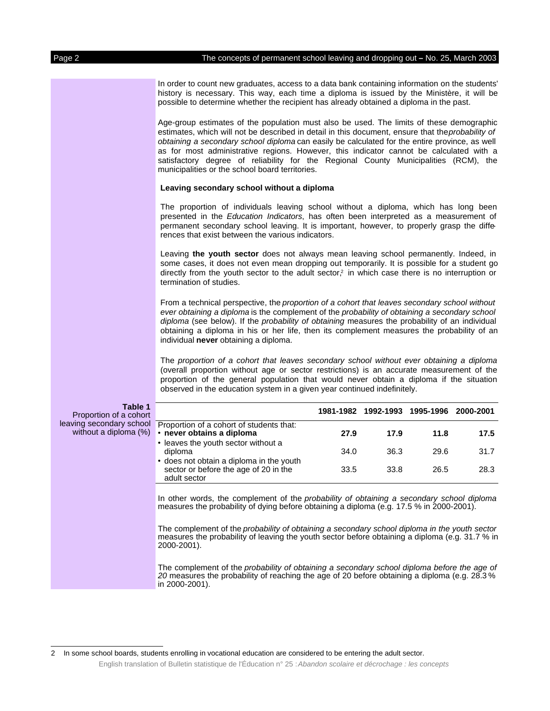In order to count new graduates, access to a data bank containing information on the students' history is necessary. This way, each time a diploma is issued by the Ministère, it will be possible to determine whether the recipient has already obtained a diploma in the past.

Age-group estimates of the population must also be used. The limits of these demographic estimates, which will not be described in detail in this document, ensure that theprobability of obtaining a secondary school diploma can easily be calculated for the entire province, as well as for most administrative regions. However, this indicator cannot be calculated with a satisfactory degree of reliability for the Regional County Municipalities (RCM), the municipalities or the school board territories.

#### **Leaving secondary school without a diploma**

The proportion of individuals leaving school without a diploma, which has long been presented in the Education Indicators, has often been interpreted as a measurement of permanent secondary school leaving. It is important, however, to properly grasp the differences that exist between the various indicators.

Leaving **the youth sector** does not always mean leaving school permanently. Indeed, in some cases, it does not even mean dropping out temporarily. It is possible for a student go directly from the youth sector to the adult sector,<sup>2</sup> in which case there is no interruption or termination of studies.

From a technical perspective, the proportion of a cohort that leaves secondary school without ever obtaining a diploma is the complement of the probability of obtaining a secondary school diploma (see below). If the probability of obtaining measures the probability of an individual obtaining a diploma in his or her life, then its complement measures the probability of an individual **never** obtaining a diploma.

The proportion of a cohort that leaves secondary school without ever obtaining a diploma (overall proportion without age or sector restrictions) is an accurate measurement of the proportion of the general population that would never obtain a diploma if the situation observed in the education system in a given year continued indefinitely.

| Table 1<br>Proportion of a cohort                 |                                                                                                                                                                                                                 | 1981-1982 | 1992-1993 | 1995-1996 | 2000-2001 |
|---------------------------------------------------|-----------------------------------------------------------------------------------------------------------------------------------------------------------------------------------------------------------------|-----------|-----------|-----------|-----------|
| leaving secondary school<br>without a diploma (%) | Proportion of a cohort of students that:<br>• never obtains a diploma                                                                                                                                           | 27.9      | 17.9      | 11.8      | 17.5      |
|                                                   | • leaves the youth sector without a<br>diploma                                                                                                                                                                  | 34.0      | 36.3      | 29.6      | 31.7      |
|                                                   | • does not obtain a diploma in the youth<br>sector or before the age of 20 in the<br>adult sector                                                                                                               | 33.5      | 33.8      | 26.5      | 28.3      |
|                                                   | In other words, the complement of the probability of obtaining a secondary school diploma<br>measures the probability of dying before obtaining a diploma (e.g. 17.5 % in 2000-2001).                           |           |           |           |           |
|                                                   | The complement of the probability of obtaining a secondary school diploma in the youth sector<br>measures the probability of leaving the youth sector before obtaining a diploma (e.g. 31.7 % in<br>2000-2001). |           |           |           |           |
|                                                   | The complement of the probability of obtaining a secondary sobool diplame before the age of                                                                                                                     |           |           |           |           |

e complement of the *probability of obtaining a secondary school diploma before the* 20 measures the probability of reaching the age of 20 before obtaining a diploma (e.g. 28.3 % in 2000-2001).

English translation of Bulletin statistique de l'Éducation n° 25 : Abandon scolaire et décrochage : les concepts

<sup>2</sup> In some school boards, students enrolling in vocational education are considered to be entering the adult sector.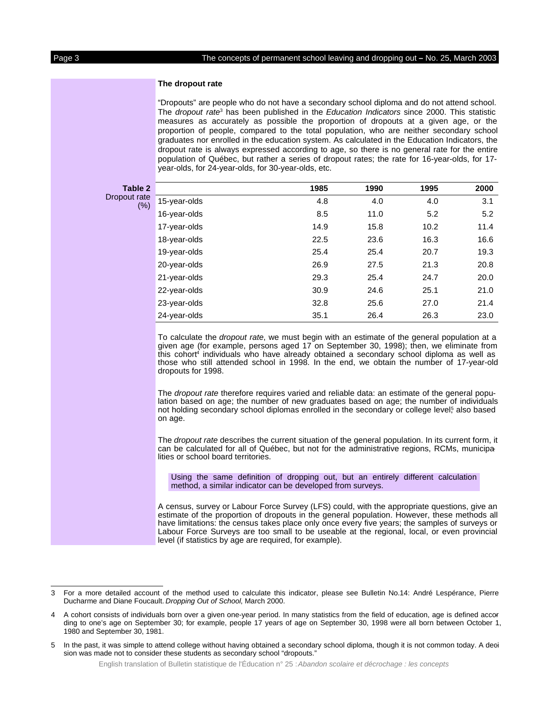#### **The dropout rate**

"Dropouts" are people who do not have a secondary school diploma and do not attend school. The *dropout rate*<sup>3</sup> has been published in the Education Indicators since 2000. This statistic measures as accurately as possible the proportion of dropouts at a given age, or the proportion of people, compared to the total population, who are neither secondary school graduates nor enrolled in the education system. As calculated in the Education Indicators, the dropout rate is always expressed according to age, so there is no general rate for the entire population of Québec, but rather a series of dropout rates; the rate for 16-year-olds, for 17 year-olds, for 24-year-olds, for 30-year-olds, etc.

| Table 2                 |              | 1985 | 1990 | 1995 | 2000 |
|-------------------------|--------------|------|------|------|------|
| Dropout rate<br>$(\% )$ | 15-year-olds | 4.8  | 4.0  | 4.0  | 3.1  |
|                         | 16-year-olds | 8.5  | 11.0 | 5.2  | 5.2  |
|                         | 17-year-olds | 14.9 | 15.8 | 10.2 | 11.4 |
|                         | 18-year-olds | 22.5 | 23.6 | 16.3 | 16.6 |
|                         | 19-year-olds | 25.4 | 25.4 | 20.7 | 19.3 |
|                         | 20-year-olds | 26.9 | 27.5 | 21.3 | 20.8 |
|                         | 21-year-olds | 29.3 | 25.4 | 24.7 | 20.0 |
|                         | 22-year-olds | 30.9 | 24.6 | 25.1 | 21.0 |
|                         | 23-year-olds | 32.8 | 25.6 | 27.0 | 21.4 |
|                         | 24-year-olds | 35.1 | 26.4 | 26.3 | 23.0 |
|                         |              |      |      |      |      |

To calculate the dropout rate, we must begin with an estimate of the general population at a given age (for example, persons aged 17 on September 30, 1998); then, we eliminate from this cohort<sup>4</sup> individuals who have already obtained a secondary school diploma as well as those who still attended school in 1998. In the end, we obtain the number of 17-year-old dropouts for 1998.

The *dropout rate* therefore requires varied and reliable data: an estimate of the general population based on age; the number of new graduates based on age; the number of individuals not holding secondary school diplomas enrolled in the secondary or college level<sup>5</sup> also based on age.

The dropout rate describes the current situation of the general population. In its current form, it can be calculated for all of Québec, but not for the administrative regions, RCMs, municipalities or school board territories.

Using the same definition of dropping out, but an entirely different calculation method, a similar indicator can be developed from surveys.

A census, survey or Labour Force Survey (LFS) could, with the appropriate questions, give an estimate of the proportion of dropouts in the general population. However, these methods all have limitations: the census takes place only once every five years; the samples of surveys or Labour Force Surveys are too small to be useable at the regional, local, or even provincial level (if statistics by age are required, for example).

<sup>3</sup> For a more detailed account of the method used to calculate this indicator, please see Bulletin No.14: André Lespérance, Pierre Ducharme and Diane Foucault. Dropping Out of School, March 2000.

A cohort consists of individuals born over a given one-year period. In many statistics from the field of education, age is defined accor ding to one's age on September 30; for example, people 17 years of age on September 30, 1998 were all born between October 1, 1980 and September 30, 1981.

<sup>5</sup> In the past, it was simple to attend college without having obtained a secondary school diploma, though it is not common today. A deci sion was made not to consider these students as secondary school "dropouts."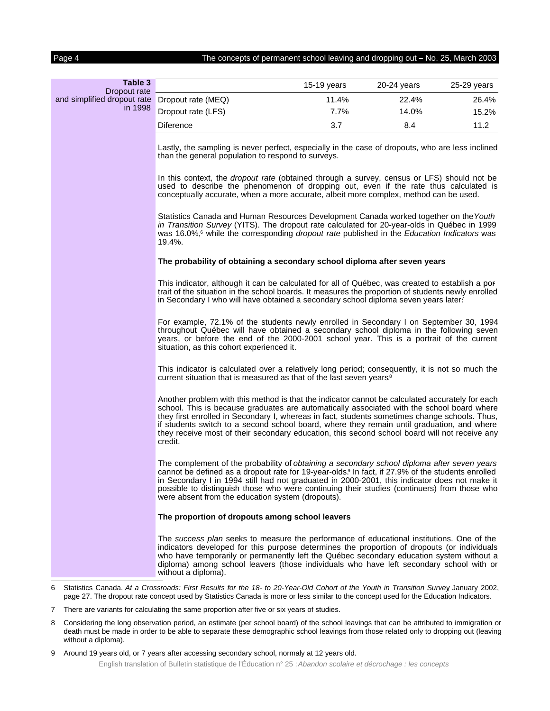Page 4 The concepts of permanent school leaving and dropping out **–** No. 25, March 2003

| Table 3<br>Dropout rate     |                                                                                                                                                                                                                                                                                                                                                                                                                                                                                                          | $15-19$ years | 20-24 years | 25-29 years |
|-----------------------------|----------------------------------------------------------------------------------------------------------------------------------------------------------------------------------------------------------------------------------------------------------------------------------------------------------------------------------------------------------------------------------------------------------------------------------------------------------------------------------------------------------|---------------|-------------|-------------|
| and simplified dropout rate | Dropout rate (MEQ)                                                                                                                                                                                                                                                                                                                                                                                                                                                                                       | 11.4%         | 22.4%       | 26.4%       |
| in 1998                     | Dropout rate (LFS)                                                                                                                                                                                                                                                                                                                                                                                                                                                                                       | 7.7%          | 14.0%       | 15.2%       |
|                             | <b>Diference</b>                                                                                                                                                                                                                                                                                                                                                                                                                                                                                         | 3.7           | 8.4         | 11.2        |
|                             | Lastly, the sampling is never perfect, especially in the case of dropouts, who are less inclined<br>than the general population to respond to surveys.                                                                                                                                                                                                                                                                                                                                                   |               |             |             |
|                             | In this context, the <i>dropout rate</i> (obtained through a survey, census or LFS) should not be<br>used to describe the phenomenon of dropping out, even if the rate thus calculated is<br>conceptually accurate, when a more accurate, albeit more complex, method can be used.                                                                                                                                                                                                                       |               |             |             |
|                             | Statistics Canada and Human Resources Development Canada worked together on the Youth<br>in Transition Survey (YITS). The dropout rate calculated for 20-year-olds in Québec in 1999<br>was 16.0%, <sup>6</sup> while the corresponding dropout rate published in the Education Indicators was<br>19.4%.                                                                                                                                                                                                 |               |             |             |
|                             | The probability of obtaining a secondary school diploma after seven years                                                                                                                                                                                                                                                                                                                                                                                                                                |               |             |             |
|                             | This indicator, although it can be calculated for all of Québec, was created to establish a por<br>trait of the situation in the school boards. It measures the proportion of students newly enrolled<br>in Secondary I who will have obtained a secondary school diploma seven years later?                                                                                                                                                                                                             |               |             |             |
|                             | For example, 72.1% of the students newly enrolled in Secondary I on September 30, 1994<br>throughout Québec will have obtained a secondary school diploma in the following seven<br>years, or before the end of the 2000-2001 school year. This is a portrait of the current<br>situation, as this cohort experienced it.                                                                                                                                                                                |               |             |             |
|                             | This indicator is calculated over a relatively long period; consequently, it is not so much the<br>current situation that is measured as that of the last seven years <sup>8</sup>                                                                                                                                                                                                                                                                                                                       |               |             |             |
|                             | Another problem with this method is that the indicator cannot be calculated accurately for each<br>school. This is because graduates are automatically associated with the school board where<br>they first enrolled in Secondary I, whereas in fact, students sometimes change schools. Thus,<br>if students switch to a second school board, where they remain until graduation, and where<br>they receive most of their secondary education, this second school board will not receive any<br>credit. |               |             |             |
|                             | The complement of the probability of obtaining a secondary school diploma after seven years<br>cannot be defined as a dropout rate for 19-year-olds. <sup>9</sup> In fact, if 27.9% of the students enrolled<br>in Secondary I in 1994 still had not graduated in 2000-2001, this indicator does not make it<br>possible to distinguish those who were continuing their studies (continuers) from those who<br>were absent from the education system (dropouts).                                         |               |             |             |
|                             | The proportion of dropouts among school leavers                                                                                                                                                                                                                                                                                                                                                                                                                                                          |               |             |             |
|                             | The success plan seeks to measure the performance of educational institutions. One of the<br>indicators developed for this purpose determines the proportion of dropouts (or individuals<br>who have temporarily or permanently left the Québec secondary education system without a<br>diploma) among school leavers (those individuals who have left secondary school with or<br>without a diploma).                                                                                                   |               |             |             |
| 6                           | Statistics Canada. At a Crossroads: First Results for the 18- to 20-Year-Old Cohort of the Youth in Transition Survey January 2002,<br>page 27. The dropout rate concept used by Statistics Canada is more or less similar to the concept used for the Education Indicators.                                                                                                                                                                                                                             |               |             |             |

- 7 There are variants for calculating the same proportion after five or six years of studies.
- 8 Considering the long observation period, an estimate (per school board) of the school leavings that can be attributed to immigration or death must be made in order to be able to separate these demographic school leavings from those related only to dropping out (leaving without a diploma).
- 9 Around 19 years old, or 7 years after accessing secondary school, normaly at 12 years old.

English translation of Bulletin statistique de l'Éducation n° 25 : Abandon scolaire et décrochage : les concepts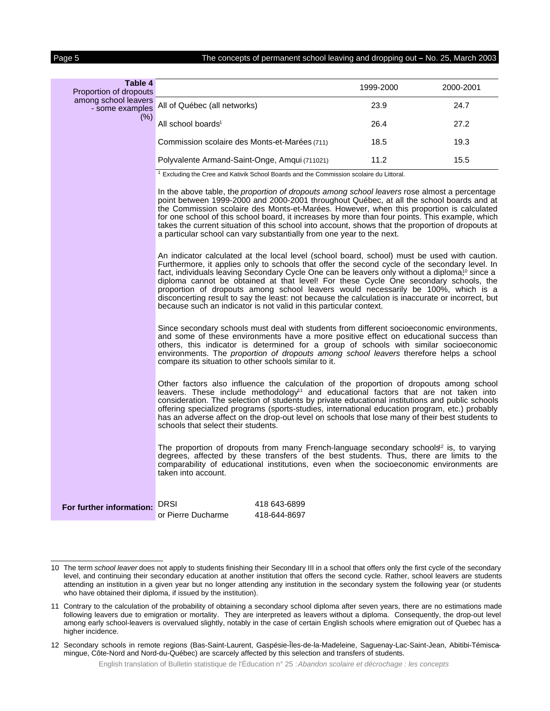Page 5 The concepts of permanent school leaving and dropping out **–** No. 25, March 2003

| Table 4<br>Proportion of dropouts               |                                                                                                                                                                                                                                                                                                                                                                                                                                                                                                                                                                                                                                                                      |                              | 1999-2000 | 2000-2001 |
|-------------------------------------------------|----------------------------------------------------------------------------------------------------------------------------------------------------------------------------------------------------------------------------------------------------------------------------------------------------------------------------------------------------------------------------------------------------------------------------------------------------------------------------------------------------------------------------------------------------------------------------------------------------------------------------------------------------------------------|------------------------------|-----------|-----------|
| among school leavers<br>- some examples<br>(% ) | All of Québec (all networks)                                                                                                                                                                                                                                                                                                                                                                                                                                                                                                                                                                                                                                         |                              | 23.9      | 24.7      |
|                                                 | All school boards <sup>1</sup>                                                                                                                                                                                                                                                                                                                                                                                                                                                                                                                                                                                                                                       |                              | 26.4      | 27.2      |
|                                                 | Commission scolaire des Monts-et-Marées (711)                                                                                                                                                                                                                                                                                                                                                                                                                                                                                                                                                                                                                        |                              | 18.5      | 19.3      |
|                                                 | Polyvalente Armand-Saint-Onge, Amqui (711021)                                                                                                                                                                                                                                                                                                                                                                                                                                                                                                                                                                                                                        |                              | 11.2      | 15.5      |
|                                                 | <sup>1</sup> Excluding the Cree and Kativik School Boards and the Commission scolaire du Littoral.                                                                                                                                                                                                                                                                                                                                                                                                                                                                                                                                                                   |                              |           |           |
|                                                 | In the above table, the <i>proportion of dropouts among school leavers</i> rose almost a percentage<br>point between 1999-2000 and 2000-2001 throughout Québec, at all the school boards and at<br>the Commission scolaire des Monts-et-Marées. However, when this proportion is calculated<br>for one school of this school board, it increases by more than four points. This example, which<br>takes the current situation of this school into account, shows that the proportion of dropouts at<br>a particular school can vary substantially from one year to the next.                                                                                         |                              |           |           |
|                                                 | An indicator calculated at the local level (school board, school) must be used with caution.<br>Furthermore, it applies only to schools that offer the second cycle of the secondary level. In<br>fact, individuals leaving Secondary Cycle One can be leavers only without a diploma <sup>10</sup> since a<br>diploma cannot be obtained at that level! For these Cycle One secondary schools, the<br>proportion of dropouts among school leavers would necessarily be 100%, which is a<br>disconcerting result to say the least: not because the calculation is inaccurate or incorrect, but<br>because such an indicator is not valid in this particular context. |                              |           |           |
|                                                 | Since secondary schools must deal with students from different socioeconomic environments,<br>and some of these environments have a more positive effect on educational success than<br>others, this indicator is determined for a group of schools with similar socioeconomic<br>environments. The proportion of dropouts among school leavers therefore helps a school<br>compare its situation to other schools similar to it.                                                                                                                                                                                                                                    |                              |           |           |
|                                                 | Other factors also influence the calculation of the proportion of dropouts among school<br>leavers. These include methodology <sup>11</sup> and educational factors that are not taken into<br>consideration. The selection of students by private educational institutions and public schools<br>offering specialized programs (sports-studies, international education program, etc.) probably<br>has an adverse affect on the drop-out level on schools that lose many of their best students to<br>schools that select their students.                                                                                                                           |                              |           |           |
|                                                 | The proportion of dropouts from many French-language secondary schools <sup>2</sup> is, to varying<br>degrees, affected by these transfers of the best students. Thus, there are limits to the<br>comparability of educational institutions, even when the socioeconomic environments are<br>taken into account.                                                                                                                                                                                                                                                                                                                                                     |                              |           |           |
| For further information:                        | DRSI<br>or Pierre Ducharme                                                                                                                                                                                                                                                                                                                                                                                                                                                                                                                                                                                                                                           | 418 643-6899<br>418-644-8697 |           |           |

<sup>10</sup> The term school leaver does not apply to students finishing their Secondary III in a school that offers only the first cycle of the secondary level, and continuing their secondary education at another institution that offers the second cycle. Rather, school leavers are students attending an institution in a given year but no longer attending any institution in the secondary system the following year (or students who have obtained their diploma, if issued by the institution).

<sup>11</sup> Contrary to the calculation of the probability of obtaining a secondary school diploma after seven years, there are no estimations made following leavers due to emigration or mortality. They are interpreted as leavers without a diploma. Consequently, the drop-out level among early school-leavers is overvalued slightly, notably in the case of certain English schools where emigration out of Quebec has a higher incidence.

<sup>12</sup> Secondary schools in remote regions (Bas-Saint-Laurent, Gaspésie-Îles-de-la-Madeleine, Saguenay-Lac-Saint-Jean, Abitibi-Témisca- mingue, Côte-Nord and Nord-du-Québec) are scarcely affected by this selection and transfers of students.